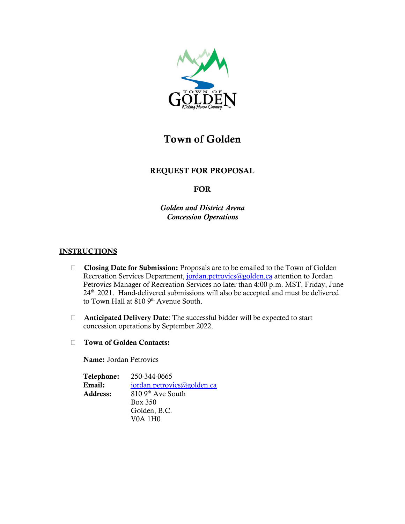

# Town of Golden

# REQUEST FOR PROPOSAL

# FOR

*Golden and District Arena Concession Operations*

# **INSTRUCTIONS**

- □ Closing Date for Submission: Proposals are to be emailed to the Town of Golden Recreation Services Department, [jordan.petrovics@golden.ca](mailto:jordan.petrovics@golden.ca) attention to Jordan Petrovics Manager of Recreation Services no later than 4:00 p.m. MST, Friday, June 24th, 2021. Hand-delivered submissions will also be accepted and must be delivered to Town Hall at 810 9<sup>th</sup> Avenue South.
- $\Box$  Anticipated Delivery Date: The successful bidder will be expected to start concession operations by September 2022.
- Town of Golden Contacts:

Name: Jordan Petrovics

Telephone: 250-344-0665 Email: [jordan.petrovics@golden.ca](mailto:jordan.petrovics@golden.ca) Address: 810 9th Ave South Box 350 Golden, B.C. V0A 1H0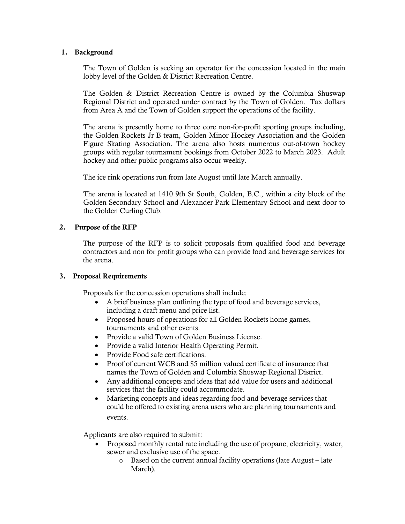#### 1. Background

The Town of Golden is seeking an operator for the concession located in the main lobby level of the Golden & District Recreation Centre.

The Golden & District Recreation Centre is owned by the Columbia Shuswap Regional District and operated under contract by the Town of Golden. Tax dollars from Area A and the Town of Golden support the operations of the facility.

The arena is presently home to three core non-for-profit sporting groups including, the Golden Rockets Jr B team, Golden Minor Hockey Association and the Golden Figure Skating Association. The arena also hosts numerous out-of-town hockey groups with regular tournament bookings from October 2022 to March 2023. Adult hockey and other public programs also occur weekly.

The ice rink operations run from late August until late March annually.

The arena is located at 1410 9th St South, Golden, B.C., within a city block of the Golden Secondary School and Alexander Park Elementary School and next door to the Golden Curling Club.

# 2. Purpose of the RFP

The purpose of the RFP is to solicit proposals from qualified food and beverage contractors and non for profit groups who can provide food and beverage services for the arena.

# 3. Proposal Requirements

Proposals for the concession operations shall include:

- A brief business plan outlining the type of food and beverage services, including a draft menu and price list.
- Proposed hours of operations for all Golden Rockets home games, tournaments and other events.
- Provide a valid Town of Golden Business License.
- Provide a valid Interior Health Operating Permit.
- Provide Food safe certifications.
- Proof of current WCB and \$5 million valued certificate of insurance that names the Town of Golden and Columbia Shuswap Regional District.
- Any additional concepts and ideas that add value for users and additional services that the facility could accommodate.
- Marketing concepts and ideas regarding food and beverage services that could be offered to existing arena users who are planning tournaments and events.

Applicants are also required to submit:

- Proposed monthly rental rate including the use of propane, electricity, water, sewer and exclusive use of the space.
	- o Based on the current annual facility operations (late August late March).